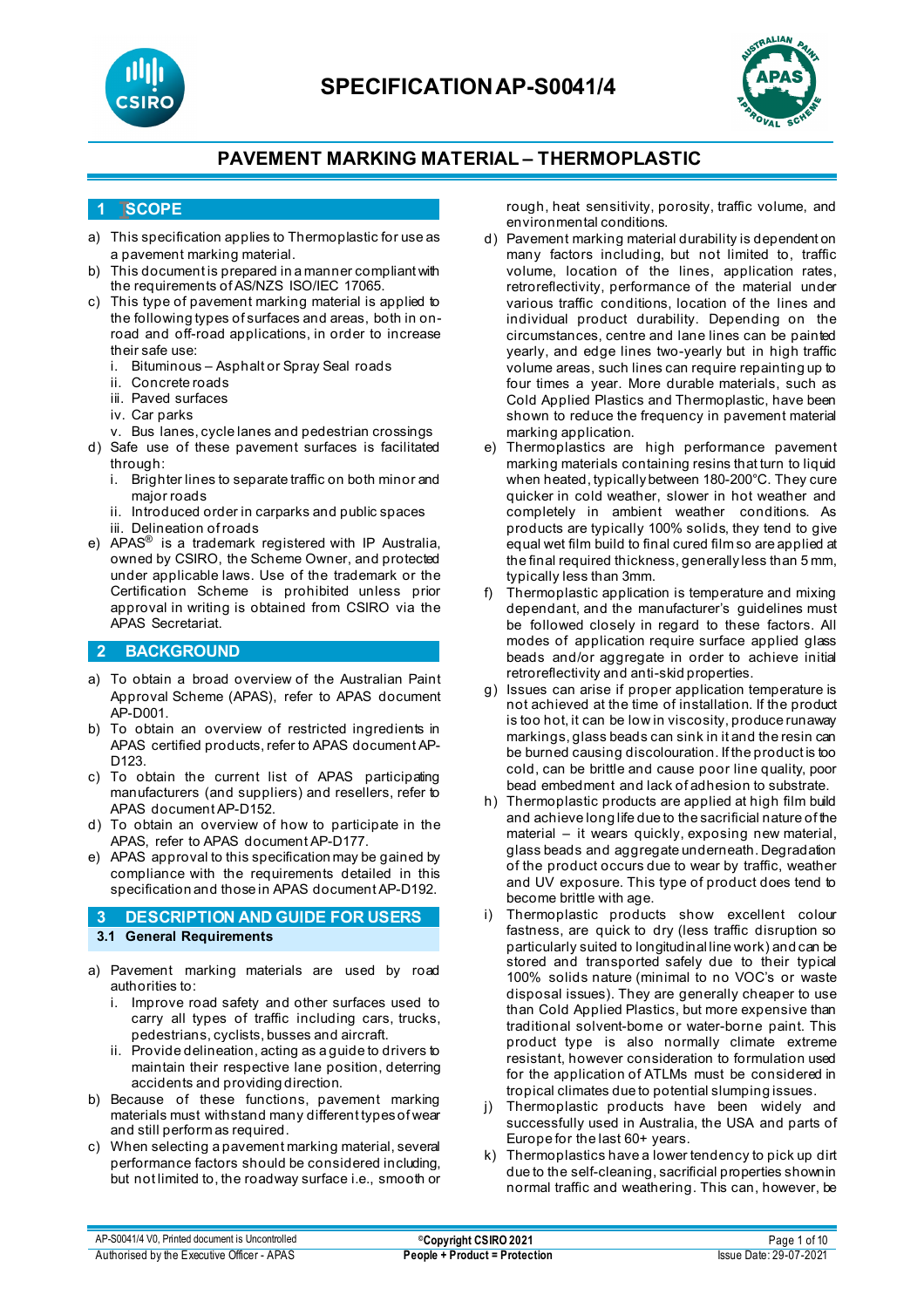



### **1 SCOPE**

- a) This specification applies to Thermoplastic for use as a pavement marking material.
- b) This document is prepared in a manner compliant with the requirements of AS/NZS ISO/IEC 17065.
- c) This type of pavement marking material is applied to the following types of surfaces and areas, both in onroad and off-road applications, in order to increase their safe use:
	- i. Bituminous Asphalt or Spray Seal roads
	- ii. Concrete roads
	- iii. Paved surfaces
	- iv. Car parks
	- v. Bus lanes, cycle lanes and pedestrian crossings
- d) Safe use of these pavement surfaces is facilitated through:
	- i. Brighter lines to separate traffic on both minor and major roads
	- ii. Introduced order in carparks and public spaces iii. Delineation of roads
- e) APAS® is a trademark registered with IP Australia, owned by CSIRO, the Scheme Owner, and protected under applicable laws. Use of the trademark or the Certification Scheme is prohibited unless prior approval in writing is obtained from CSIRO via the APAS Secretariat.

### **2 BACKGROUND**

- a) To obtain a broad overview of the Australian Paint Approval Scheme (APAS), refer to APAS document AP-D001.
- b) To obtain an overview of restricted ingredients in APAS certified products, refer to APAS document AP-D123.
- c) To obtain the current list of APAS participating manufacturers (and suppliers) and resellers, refer to APAS document AP-D152.
- d) To obtain an overview of how to participate in the APAS, refer to APAS document AP-D177.
- e) APAS approval to this specification may be gained by compliance with the requirements detailed in this specification and those in APAS document AP-D192.

### **3 DESCRIPTION AND GUIDE FOR USERS 3.1 General Requirements**

- a) Pavement marking materials are used by road authorities to:
	- i. Improve road safety and other surfaces used to carry all types of traffic including cars, trucks, pedestrians, cyclists, busses and aircraft.
	- ii. Provide delineation, acting as a guide to drivers to maintain their respective lane position, deterring accidents and providing direction.
- b) Because of these functions, pavement marking materials must withstand many different types of wear and still perform as required.
- c) When selecting a pavement marking material, several performance factors should be considered including, but not limited to, the roadway surface i.e., smooth or

rough, heat sensitivity, porosity, traffic volume, and environmental conditions.

- d) Pavement marking material durability is dependent on many factors including, but not limited to, traffic volume, location of the lines, application rates, retroreflectivity, performance of the material under various traffic conditions, location of the lines and individual product durability. Depending on the circumstances, centre and lane lines can be painted yearly, and edge lines two-yearly but in high traffic volume areas, such lines can require repainting up to four times a year. More durable materials, such as Cold Applied Plastics and Thermoplastic, have been shown to reduce the frequency in pavement material marking application.
- Thermoplastics are high performance pavement marking materials containing resins that turn to liquid when heated, typically between 180-200°C. They cure quicker in cold weather, slower in hot weather and completely in ambient weather conditions. As products are typically 100% solids, they tend to give equal wet film build to final cured film so are applied at the final required thickness, generally less than 5 mm, typically less than 3mm.
- f) Thermoplastic application is temperature and mixing dependant, and the manufacturer's guidelines must be followed closely in regard to these factors. All modes of application require surface applied glass beads and/or aggregate in order to achieve initial retroreflectivity and anti-skid properties.
- g) Issues can arise if proper application temperature is not achieved at the time of installation. If the product is too hot, it can be low in viscosity, produce runaway markings, glass beads can sink in it and the resin can be burned causing discolouration. If the product is too cold, can be brittle and cause poor line quality, poor bead embedment and lack of adhesion to substrate.
- h) Thermoplastic products are applied at high film build and achieve long life due to the sacrificial nature of the material – it wears quickly, exposing new material, glass beads and aggregate underneath. Degradation of the product occurs due to wear by traffic, weather and UV exposure. This type of product does tend to become brittle with age.
- i) Thermoplastic products show excellent colour fastness, are quick to dry (less traffic disruption so particularly suited to longitudinal line work) and can be stored and transported safely due to their typical 100% solids nature (minimal to no VOC's or waste disposal issues). They are generally cheaper to use than Cold Applied Plastics, but more expensive than traditional solvent-borne or water-borne paint. This product type is also normally climate extreme resistant, however consideration to formulation used for the application of ATLMs must be considered in tropical climates due to potential slumping issues.
- j) Thermoplastic products have been widely and successfully used in Australia, the USA and parts of Europe for the last 60+ years.
- k) Thermoplastics have a lower tendency to pick up dirt due to the self-cleaning, sacrificial properties shown in normal traffic and weathering. This can, however, be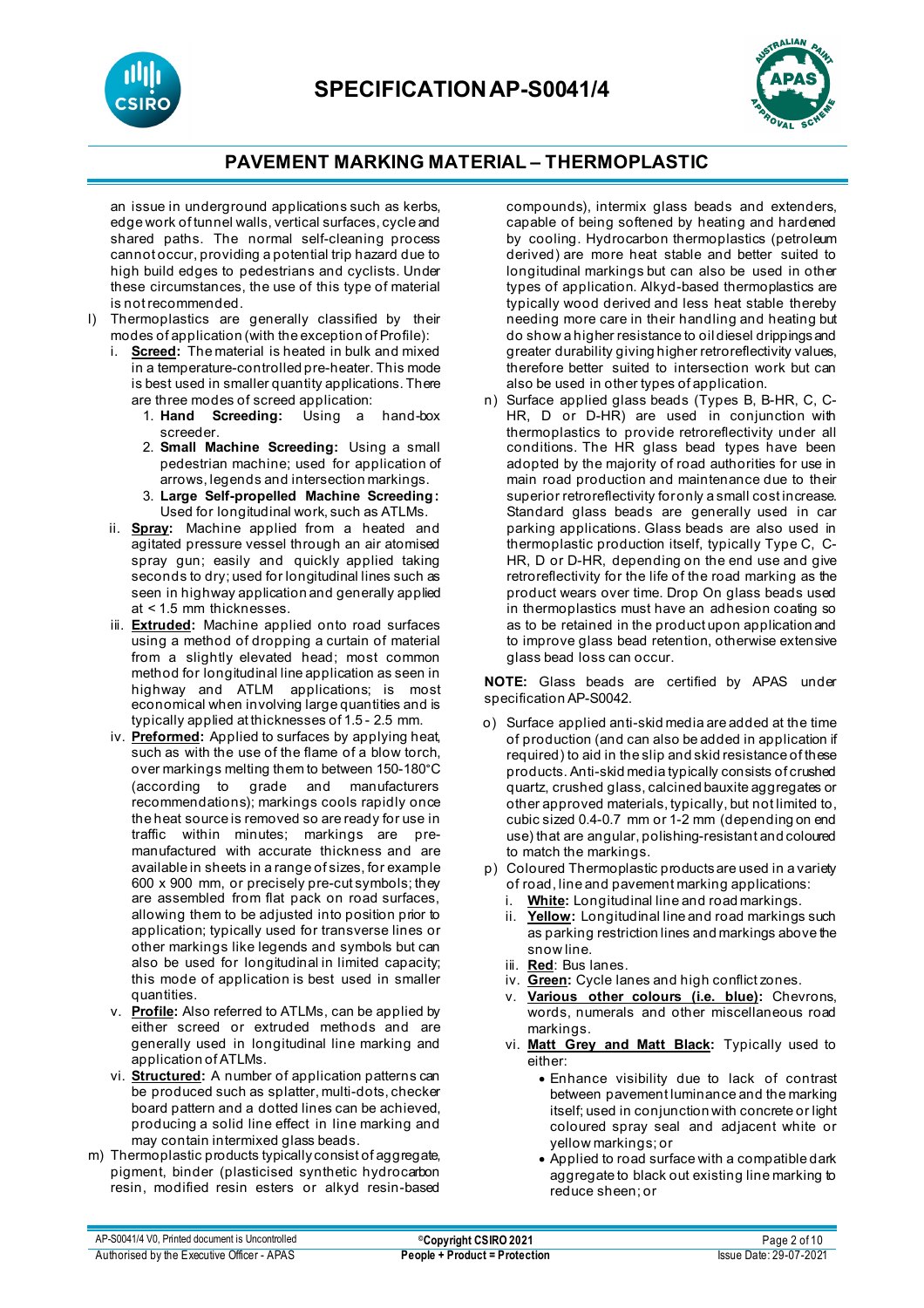



an issue in underground applications such as kerbs, edge work of tunnel walls, vertical surfaces, cycle and shared paths. The normal self-cleaning process cannot occur, providing a potential trip hazard due to high build edges to pedestrians and cyclists. Under these circumstances, the use of this type of material is not recommended.

- l) Thermoplastics are generally classified by their modes of application (with the exception of Profile):
	- i. **Screed:** The material is heated in bulk and mixed in a temperature-controlled pre-heater. This mode is best used in smaller quantity applications. There are three modes of screed application:
		- 1. **Hand Screeding:** Using a hand-box screeder.
		- 2. **Small Machine Screeding:** Using a small pedestrian machine; used for application of arrows, legends and intersection markings.
		- 3. **Large Self-propelled Machine Screeding:** Used for longitudinal work, such as ATLMs.
	- ii. **Spray:** Machine applied from a heated and agitated pressure vessel through an air atomised spray gun; easily and quickly applied taking seconds to dry; used for longitudinal lines such as seen in highway application and generally applied at < 1.5 mm thicknesses.
	- iii. **Extruded:** Machine applied onto road surfaces using a method of dropping a curtain of material from a slightly elevated head; most common method for longitudinal line application as seen in highway and ATLM applications; is most economical when involving large quantities and is typically applied at thicknesses of 1.5 - 2.5 mm.
	- iv. **Preformed:** Applied to surfaces by applying heat, such as with the use of the flame of a blow torch, over markings melting them to between 150-180°C (according to grade and manufacturers recommendations); markings cools rapidly once the heat source is removed so are ready for use in traffic within minutes; markings are premanufactured with accurate thickness and are available in sheets in a range of sizes, for example 600 x 900 mm, or precisely pre-cut symbols; they are assembled from flat pack on road surfaces, allowing them to be adjusted into position prior to application; typically used for transverse lines or other markings like legends and symbols but can also be used for longitudinal in limited capacity; this mode of application is best used in smaller quantities.
	- v. **Profile:** Also referred to ATLMs, can be applied by either screed or extruded methods and are generally used in longitudinal line marking and application of ATLMs.
	- vi. **Structured:** A number of application patterns can be produced such as splatter, multi-dots, checker board pattern and a dotted lines can be achieved, producing a solid line effect in line marking and may contain intermixed glass beads.
- m) Thermoplastic products typically consist of aggregate, pigment, binder (plasticised synthetic hydrocarbon resin, modified resin esters or alkyd resin-based

compounds), intermix glass beads and extenders, capable of being softened by heating and hardened by cooling. Hydrocarbon thermoplastics (petroleum derived) are more heat stable and better suited to longitudinal markings but can also be used in other types of application. Alkyd-based thermoplastics are typically wood derived and less heat stable thereby needing more care in their handling and heating but do show a higher resistance to oil diesel drippings and greater durability giving higher retroreflectivity values, therefore better suited to intersection work but can also be used in other types of application.

n) Surface applied glass beads (Types B, B-HR, C, C-HR, D or D-HR) are used in conjunction with thermoplastics to provide retroreflectivity under all conditions. The HR glass bead types have been adopted by the majority of road authorities for use in main road production and maintenance due to their superior retroreflectivity for only a small cost increase. Standard glass beads are generally used in car parking applications. Glass beads are also used in thermoplastic production itself, typically Type C, C-HR, D or D-HR, depending on the end use and give retroreflectivity for the life of the road marking as the product wears over time. Drop On glass beads used in thermoplastics must have an adhesion coating so as to be retained in the product upon application and to improve glass bead retention, otherwise extensive glass bead loss can occur.

**NOTE:** Glass beads are certified by APAS under specification AP-S0042.

- o) Surface applied anti-skid media are added at the time of production (and can also be added in application if required) to aid in the slip and skid resistance of these products. Anti-skid media typically consists of crushed quartz, crushed glass, calcined bauxite aggregates or other approved materials, typically, but not limited to, cubic sized 0.4-0.7 mm or 1-2 mm (depending on end use) that are angular, polishing-resistant and coloured to match the markings.
- p) Coloured Thermoplastic products are used in a variety of road, line and pavement marking applications:
	- i. **White:** Longitudinal line and road markings.
	- ii. **Yellow:** Longitudinal line and road markings such as parking restriction lines and markings above the snow line.
	- iii. **Red**: Bus lanes.
	- iv. **Green:** Cycle lanes and high conflict zones.
	- v. **Various other colours (i.e. blue):** Chevrons, words, numerals and other miscellaneous road markings.
	- vi. **Matt Grey and Matt Black:** Typically used to either:
		- Enhance visibility due to lack of contrast between pavement luminance and the marking itself; used in conjunction with concrete or light coloured spray seal and adjacent white or yellow markings; or
		- Applied to road surface with a compatible dark aggregate to black out existing line marking to reduce sheen; or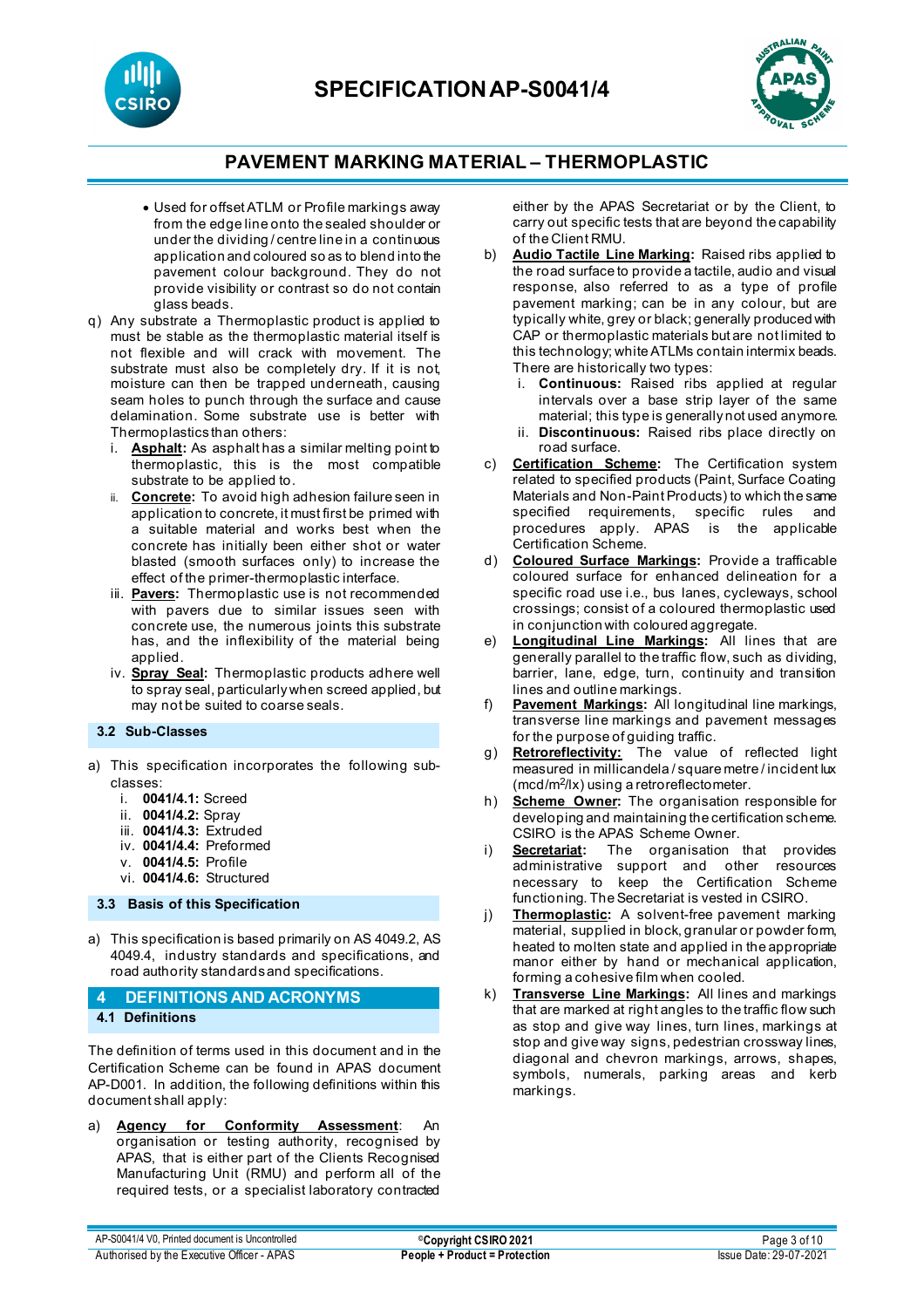**SPECIFICATIONAP-S0041/4**





## **PAVEMENT MARKING MATERIAL – THERMOPLASTIC**

- Used for offset ATLM or Profile markings away from the edge line onto the sealed shoulder or under the dividing / centre line in a continuous application and coloured so as to blend into the pavement colour background. They do not provide visibility or contrast so do not contain glass beads.
- q) Any substrate a Thermoplastic product is applied to must be stable as the thermoplastic material itself is not flexible and will crack with movement. The substrate must also be completely dry. If it is not, moisture can then be trapped underneath, causing seam holes to punch through the surface and cause delamination. Some substrate use is better with Thermoplastics than others:
	- i. **Asphalt:** As asphalt has a similar melting point to thermoplastic, this is the most compatible substrate to be applied to.
	- **Concrete:** To avoid high adhesion failure seen in application to concrete, it must first be primed with a suitable material and works best when the concrete has initially been either shot or water blasted (smooth surfaces only) to increase the effect of the primer-thermoplastic interface.
	- iii. **Pavers:** Thermoplastic use is not recommended with pavers due to similar issues seen with concrete use, the numerous joints this substrate has, and the inflexibility of the material being applied.
	- iv. **Spray Seal:** Thermoplastic products adhere well to spray seal, particularly when screed applied, but may not be suited to coarse seals.

**3.2 Sub-Classes**

- a) This specification incorporates the following subclasses:
	- i. **0041/4.1:** Screed
	- ii. **0041/4.2:** Spray
	- iii. **0041/4.3:** Extruded
	- iv. **0041/4.4:** Preformed
	- v. **0041/4.5:** Profile
	- vi. **0041/4.6:** Structured

### **3.3 Basis of this Specification**

a) This specification is based primarily on AS 4049.2, AS 4049.4, industry standards and specifications, and road authority standards and specifications.

### **4 DEFINITIONS AND ACRONYMS 4.1 Definitions**

The definition of terms used in this document and in the Certification Scheme can be found in APAS document AP-D001. In addition, the following definitions within this document shall apply:

a) **Agency for Conformity Assessment**: An organisation or testing authority, recognised by APAS, that is either part of the Clients Recognised Manufacturing Unit (RMU) and perform all of the required tests, or a specialist laboratory contracted either by the APAS Secretariat or by the Client, to carry out specific tests that are beyond the capability of the Client RMU.

- b) **Audio Tactile Line Marking:** Raised ribs applied to the road surface to provide a tactile, audio and visual response, also referred to as a type of profile pavement marking; can be in any colour, but are typically white, grey or black; generally produced with CAP or thermoplastic materials but are not limited to this technology; white ATLMs contain intermix beads. There are historically two types:
	- i. **Continuous:** Raised ribs applied at regular intervals over a base strip layer of the same material; this type is generally not used anymore.
	- ii. **Discontinuous:** Raised ribs place directly on road surface.
- c) **Certification Scheme:** The Certification system related to specified products (Paint, Surface Coating Materials and Non-Paint Products) to which the same specified requirements, specific rules and procedures apply. APAS is the applicable Certification Scheme.
- d) **Coloured Surface Markings:** Provide a trafficable coloured surface for enhanced delineation for a specific road use i.e., bus lanes, cycleways, school crossings; consist of a coloured thermoplastic used in conjunction with coloured aggregate.
- e) **Longitudinal Line Markings:** All lines that are generally parallel to the traffic flow, such as dividing, barrier, lane, edge, turn, continuity and transition lines and outline markings.
- f) **Pavement Markings:** All longitudinal line markings, transverse line markings and pavement messages for the purpose of guiding traffic.
- g) **Retroreflectivity:** The value of reflected light measured in millicandela / square metre / incident lux (mcd/m2/lx) using a retroreflectometer.
- h) **Scheme Owner:** The organisation responsible for developing and maintaining the certification scheme. CSIRO is the APAS Scheme Owner.<br>**Secretariat:** The organisation
- i) **Secretariat:** The organisation that provides administrative support and other resources necessary to keep the Certification Scheme functioning. The Secretariat is vested in CSIRO.
- j) **Thermoplastic:** A solvent-free pavement marking material, supplied in block, granular or powder form, heated to molten state and applied in the appropriate manor either by hand or mechanical application, forming a cohesive film when cooled.
- k) **Transverse Line Markings:** All lines and markings that are marked at right angles to the traffic flow such as stop and give way lines, turn lines, markings at stop and give way signs, pedestrian crossway lines, diagonal and chevron markings, arrows, shapes, symbols, numerals, parking areas and kerb markings.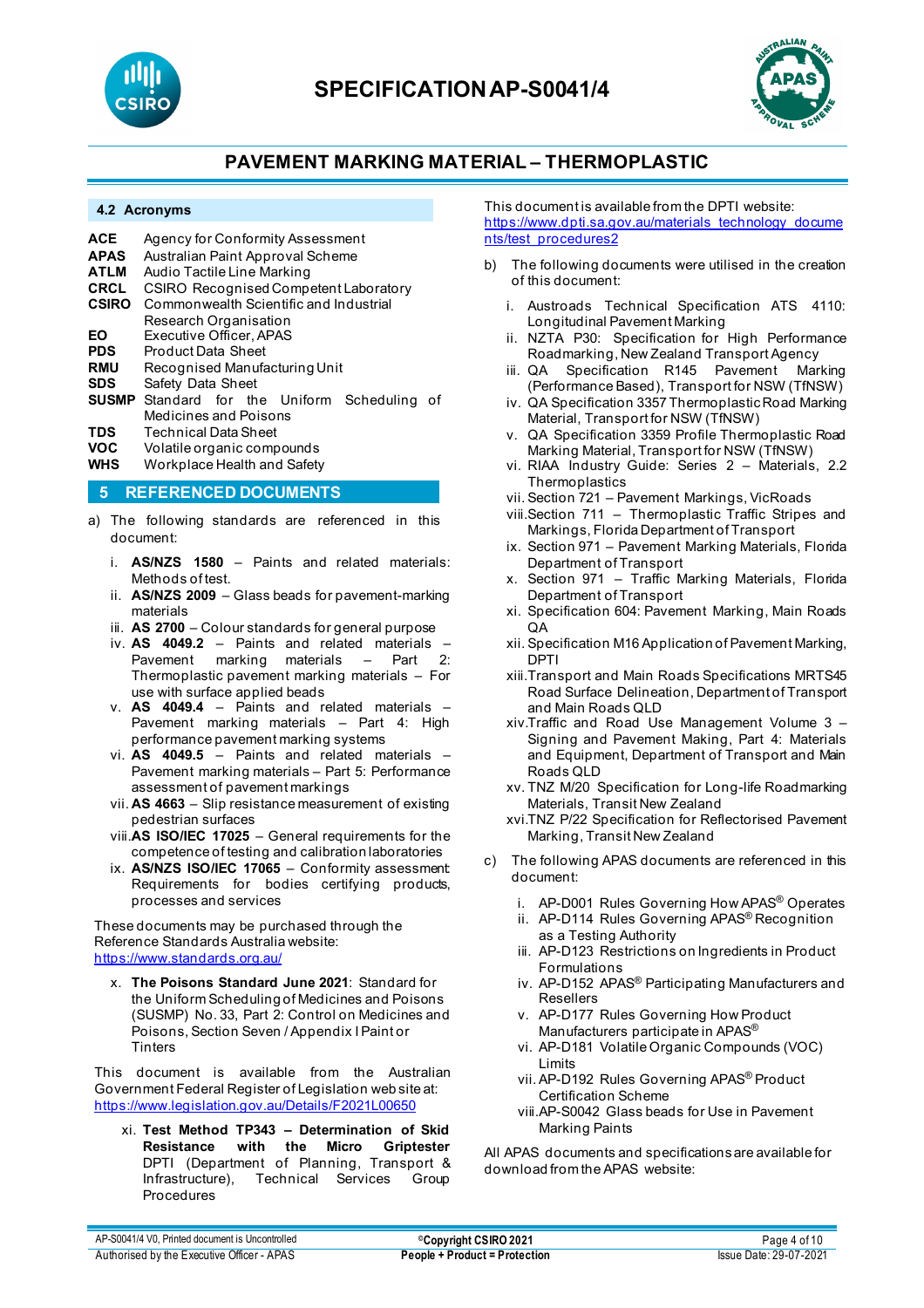



#### **4.2 Acronyms**

| ACE.       | Agency for Conformity Assessment                    |  |  |  |  |  |
|------------|-----------------------------------------------------|--|--|--|--|--|
| APAS       | Australian Paint Approval Scheme                    |  |  |  |  |  |
| ATLM       | Audio Tactile Line Marking                          |  |  |  |  |  |
| CRCL       | CSIRO Recognised Competent Laboratory               |  |  |  |  |  |
| CSIRO      | Commonwealth Scientific and Industrial              |  |  |  |  |  |
|            | Research Organisation                               |  |  |  |  |  |
| EΟ         | Executive Officer, APAS                             |  |  |  |  |  |
| PDS        | <b>Product Data Sheet</b>                           |  |  |  |  |  |
| <b>RMU</b> | Recognised Manufacturing Unit                       |  |  |  |  |  |
| SDS        | Safety Data Sheet                                   |  |  |  |  |  |
|            | <b>SUSMP</b> Standard for the Uniform Scheduling of |  |  |  |  |  |
|            | Medicines and Poisons                               |  |  |  |  |  |
| TNC        | Tochnical Data Shoot                                |  |  |  |  |  |

- **TDS** Technical Data Sheet
- **VOC** Volatile organic compounds **WHS** Workplace Health and Safety

# **5 REFERENCED DOCUMENTS**

- a) The following standards are referenced in this document:
	- i. **AS/NZS 1580** Paints and related materials: Methods of test.
	- ii. **AS/NZS 2009**  Glass beads for pavement-marking materials
	- iii. **AS 2700**  Colour standards for general purpose
	- iv. **AS 4049.2** Paints and related materials Pavement marking materials  $-$ Thermoplastic pavement marking materials – For use with surface applied beads
	- v. **AS 4049.4** Paints and related materials Pavement marking materials – Part 4: High performance pavement marking systems
	- vi. **AS 4049.5** Paints and related materials Pavement marking materials – Part 5: Performance assessment of pavement markings
	- vii. **AS 4663**  Slip resistance measurement of existing pedestrian surfaces
	- viii.**AS ISO/IEC 17025** General requirements for the competence of testing and calibration laboratories
	- ix. **AS/NZS ISO/IEC 17065**  Conformity assessment: Requirements for bodies certifying products, processes and services

These documents may be purchased through the Reference Standards Australia website: <https://www.standards.org.au/>

x. **The Poisons Standard June 2021**: Standard for the Uniform Scheduling of Medicines and Poisons (SUSMP) No. 33, Part 2: Control on Medicines and Poisons, Section Seven / Appendix I Paint or **Tinters** 

This document is available from the Australian Government Federal Register of Legislation web site at: <https://www.legislation.gov.au/Details/F2021L00650>

xi. **Test Method TP343 – Determination of Skid Resistance with the Micro Griptester** DPTI (Department of Planning, Transport & Infrastructure), Technical Services Group Technical Services Group Procedures

This document is available from the DPTI website: [https://www.dpti.sa.gov.au/materials\\_technology\\_docume](https://www.dpti.sa.gov.au/materials_technology_documents/test_procedures2) [nts/test\\_procedures2](https://www.dpti.sa.gov.au/materials_technology_documents/test_procedures2)

- b) The following documents were utilised in the creation of this document:
	- i. Austroads Technical Specification ATS 4110: Longitudinal Pavement Marking
	- ii. NZTA P30: Specification for High Performance Roadmarking, New Zealand Transport Agency
	- iii. QA Specification R145 Pavement Marking (Performance Based), Transport for NSW (TfNSW)
	- iv. QA Specification 3357 Thermoplastic Road Marking Material, Transport for NSW (TfNSW)
	- v. QA Specification 3359 Profile Thermoplastic Road Marking Material, Transport for NSW (TfNSW)
	- vi. RIAA Industry Guide: Series 2 Materials, 2.2 **Thermoplastics**
	- vii. Section 721 Pavement Markings, VicRoads
	- viii.Section 711 Thermoplastic Traffic Stripes and Markings, Florida Department of Transport
	- ix. Section 971 Pavement Marking Materials, Florida Department of Transport
	- x. Section 971 Traffic Marking Materials, Florida Department of Transport
	- xi. Specification 604: Pavement Marking, Main Roads QA
	- xii. Specification M16 Application of Pavement Marking, DPTI
	- xiii.Transport and Main Roads Specifications MRTS45 Road Surface Delineation, Department of Transport and Main Roads QLD
	- xiv.Traffic and Road Use Management Volume 3 Signing and Pavement Making, Part 4: Materials and Equipment, Department of Transport and Main Roads QLD
	- xv. TNZ M/20 Specification for Long-life Roadmarking Materials, Transit New Zealand
	- xvi.TNZ P/22 Specification for Reflectorised Pavement Marking, Transit New Zealand
- c) The following APAS documents are referenced in this document:
	- i. AP-D001 Rules Governing How APAS® Operates
	- ii. AP-D114 Rules Governing APAS® Recognition as a Testing Authority
	- iii. AP-D123 Restrictions on Ingredients in Product Formulations
	- iv. AP-D152 APAS® Participating Manufacturers and Resellers
	- v. AP-D177 Rules Governing How Product Manufacturers participate in APAS®
	- vi. AP-D181 Volatile Organic Compounds (VOC) Limits
	- vii. AP-D192 Rules Governing APAS® Product Certification Scheme
	- viii.AP-S0042 Glass beads for Use in Pavement Marking Paints

All APAS documents and specifications are available for download from the APAS website: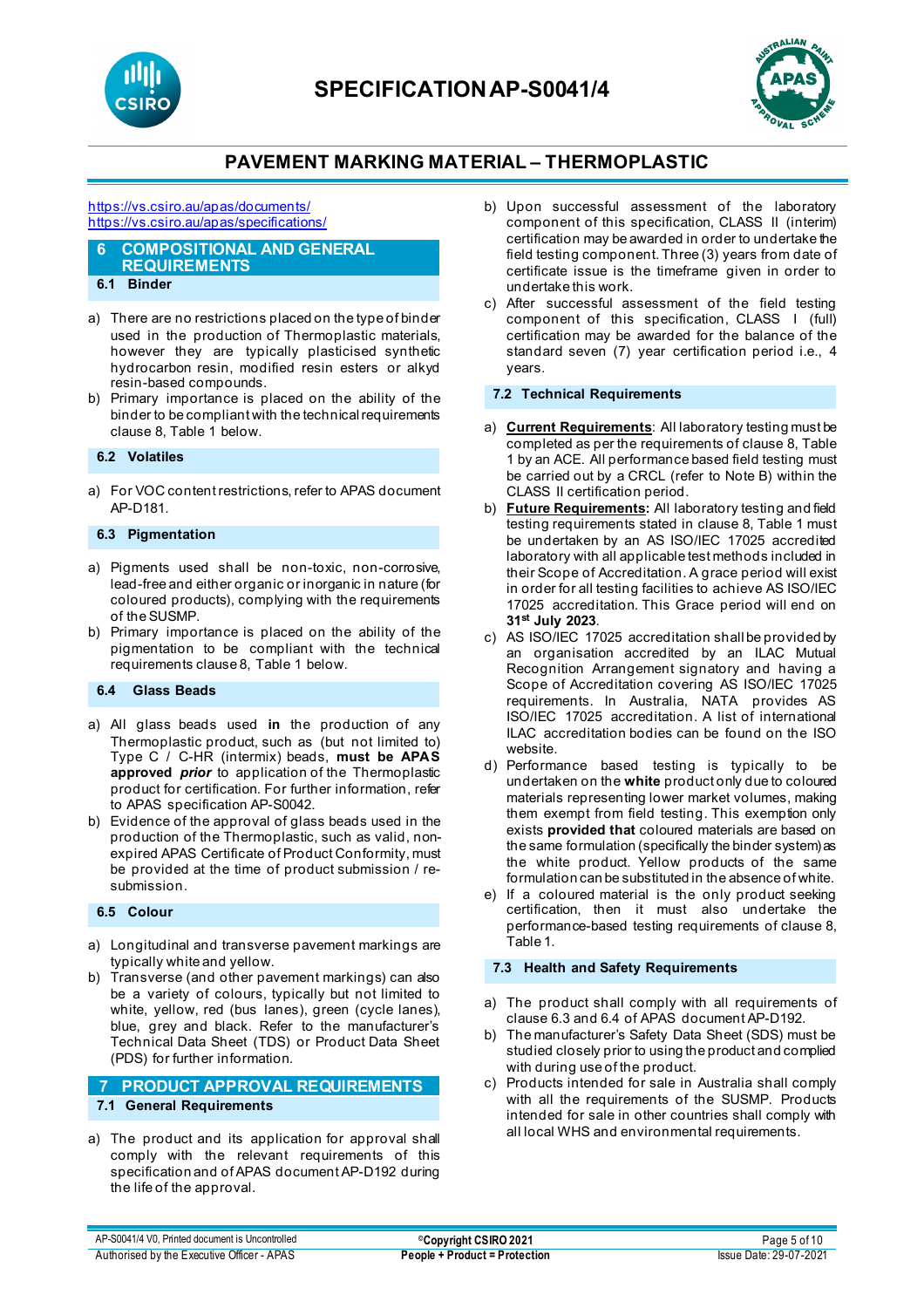



#### <https://vs.csiro.au/apas/documents/> <https://vs.csiro.au/apas/specifications/>

#### **6 COMPOSITIONAL AND GENERAL REQUIREMENTS 6.1 Binder**

- 
- a) There are no restrictions placed on the type of binder used in the production of Thermoplastic materials, however they are typically plasticised synthetic hydrocarbon resin, modified resin esters or alkyd resin-based compounds.
- b) Primary importance is placed on the ability of the binder to be compliant with the technical requirements clause 8, Table 1 below.

### **6.2 Volatiles**

a) For VOC content restrictions, refer to APAS document AP-D181.

### **6.3 Pigmentation**

- a) Pigments used shall be non-toxic, non-corrosive, lead-free and either organic or inorganic in nature (for coloured products), complying with the requirements of the SUSMP.
- b) Primary importance is placed on the ability of the pigmentation to be compliant with the technical requirements clause 8, Table 1 below.

### **6.4 Glass Beads**

- a) All glass beads used **in** the production of any Thermoplastic product, such as (but not limited to) Type C / C-HR (intermix) beads, **must be APAS approved** *prior* to application of the Thermoplastic product for certification. For further information, refer to APAS specification AP-S0042.
- b) Evidence of the approval of glass beads used in the production of the Thermoplastic, such as valid, nonexpired APAS Certificate of Product Conformity, must be provided at the time of product submission / resubmission.

### **6.5 Colour**

- a) Longitudinal and transverse pavement markings are typically white and yellow.
- b) Transverse (and other pavement markings) can also be a variety of colours, typically but not limited to white, yellow, red (bus lanes), green (cycle lanes), blue, grey and black. Refer to the manufacturer's Technical Data Sheet (TDS) or Product Data Sheet (PDS) for further information.

### **7 PRODUCT APPROVAL REQUIREMENTS 7.1 General Requirements**

a) The product and its application for approval shall comply with the relevant requirements of this specification and of APAS document AP-D192 during the life of the approval.

- b) Upon successful assessment of the laboratory component of this specification, CLASS II (interim) certification may be awarded in order to undertake the field testing component. Three (3) years from date of certificate issue is the timeframe given in order to undertake this work.
- c) After successful assessment of the field testing component of this specification, CLASS I (full) certification may be awarded for the balance of the standard seven (7) year certification period i.e., 4 years.

### **7.2 Technical Requirements**

- a) **Current Requirements**: All laboratory testing must be completed as per the requirements of clause 8, Table 1 by an ACE. All performance based field testing must be carried out by a CRCL (refer to Note B) within the CLASS II certification period.
- b) **Future Requirements:** All laboratory testing and field testing requirements stated in clause 8, Table 1 must be undertaken by an AS ISO/IEC 17025 accredited laboratory with all applicable test methods included in their Scope of Accreditation. A grace period will exist in order for all testing facilities to achieve AS ISO/IEC 17025 accreditation. This Grace period will end on **31st July 2023**.
- c) AS ISO/IEC 17025 accreditation shall be provided by an organisation accredited by an ILAC Mutual Recognition Arrangement signatory and having a Scope of Accreditation covering AS ISO/IEC 17025 requirements. In Australia, NATA provides AS ISO/IEC 17025 accreditation. A list of international ILAC accreditation bodies can be found on the ISO website.
- d) Performance based testing is typically to be undertaken on the **white** product only due to coloured materials representing lower market volumes, making them exempt from field testing. This exemption only exists **provided that** coloured materials are based on the same formulation (specifically the binder system) as the white product. Yellow products of the same formulation can be substituted in the absence of white.
- e) If a coloured material is the only product seeking certification, then it must also undertake the performance-based testing requirements of clause 8, Table 1.

### **7.3 Health and Safety Requirements**

- a) The product shall comply with all requirements of clause 6.3 and 6.4 of APAS document AP-D192.
- b) The manufacturer's Safety Data Sheet (SDS) must be studied closely prior to using the product and complied with during use of the product.
- c) Products intended for sale in Australia shall comply with all the requirements of the SUSMP. Products intended for sale in other countries shall comply with all local WHS and environmental requirements.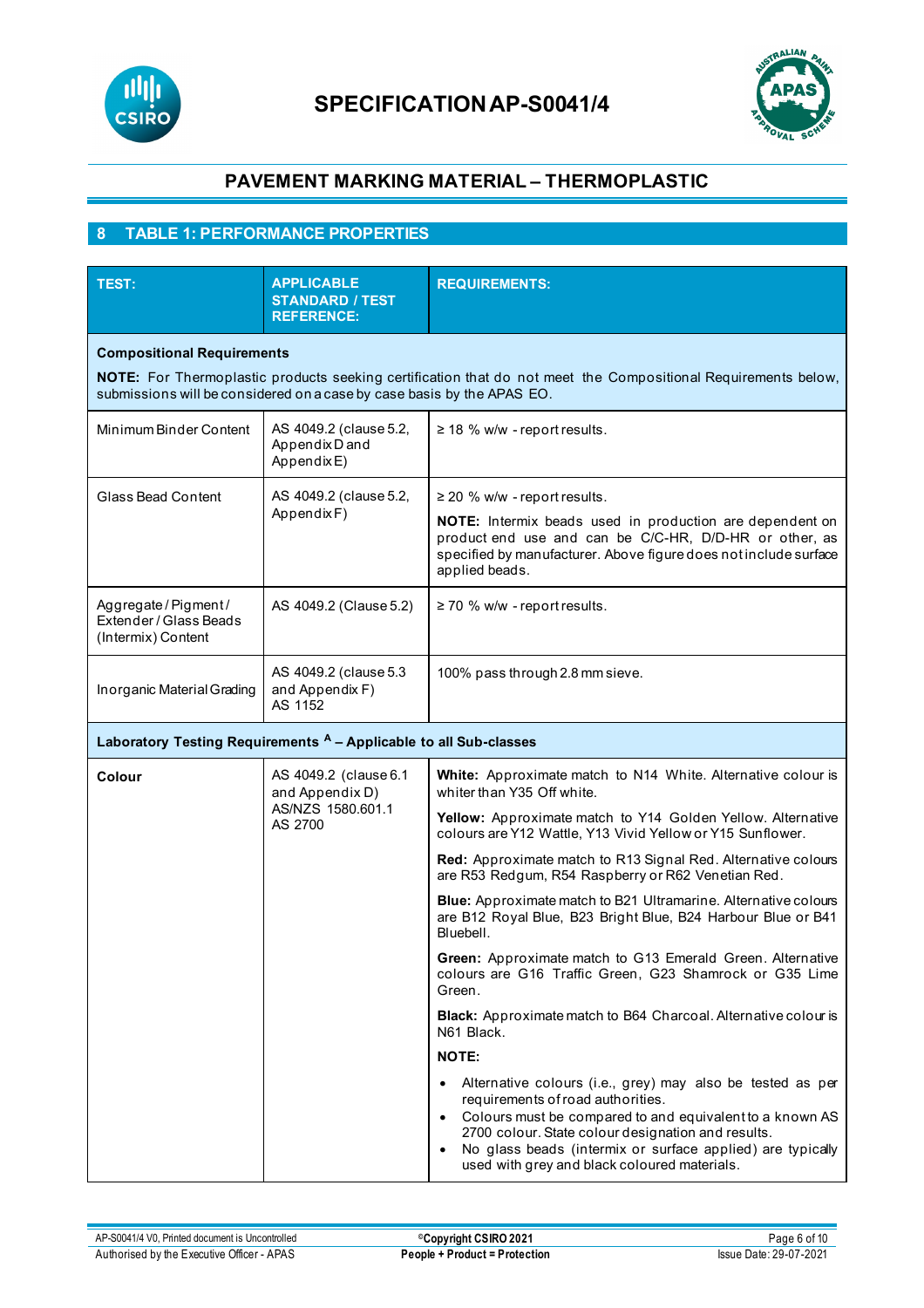



## **8 TABLE 1: PERFORMANCE PROPERTIES**

| <b>TEST:</b>                                                                                                                                                                                                                 | <b>APPLICABLE</b><br><b>STANDARD / TEST</b><br><b>REFERENCE:</b>         | <b>REQUIREMENTS:</b>                                                                                                                                                                                                                                                                                                            |  |  |  |  |
|------------------------------------------------------------------------------------------------------------------------------------------------------------------------------------------------------------------------------|--------------------------------------------------------------------------|---------------------------------------------------------------------------------------------------------------------------------------------------------------------------------------------------------------------------------------------------------------------------------------------------------------------------------|--|--|--|--|
| <b>Compositional Requirements</b><br>NOTE: For Thermoplastic products seeking certification that do not meet the Compositional Requirements below,<br>submissions will be considered on a case by case basis by the APAS EO. |                                                                          |                                                                                                                                                                                                                                                                                                                                 |  |  |  |  |
| Minimum Binder Content                                                                                                                                                                                                       | AS 4049.2 (clause 5.2,<br>Appendix D and<br>AppendixE)                   | $\geq$ 18 % w/w - report results.                                                                                                                                                                                                                                                                                               |  |  |  |  |
| Glass Bead Content                                                                                                                                                                                                           | AS 4049.2 (clause 5.2,<br>AppendixF)                                     | $\geq$ 20 % w/w - report results.<br>NOTE: Intermix beads used in production are dependent on<br>product end use and can be C/C-HR, D/D-HR or other, as<br>specified by manufacturer. Above figure does not include surface<br>applied beads.                                                                                   |  |  |  |  |
| Aggregate/Pigment/<br>Extender / Glass Beads<br>(Intermix) Content                                                                                                                                                           | AS 4049.2 (Clause 5.2)                                                   | ≥ 70 % w/w - report results.                                                                                                                                                                                                                                                                                                    |  |  |  |  |
| Inorganic Material Grading                                                                                                                                                                                                   | AS 4049.2 (clause 5.3<br>and Appendix F)<br>AS 1152                      | 100% pass through 2.8 mm sieve.                                                                                                                                                                                                                                                                                                 |  |  |  |  |
| Laboratory Testing Requirements A - Applicable to all Sub-classes                                                                                                                                                            |                                                                          |                                                                                                                                                                                                                                                                                                                                 |  |  |  |  |
| Colour                                                                                                                                                                                                                       | AS 4049.2 (clause 6.1<br>and Appendix D)<br>AS/NZS 1580.601.1<br>AS 2700 | White: Approximate match to N14 White. Alternative colour is<br>whiter than Y35 Off white.                                                                                                                                                                                                                                      |  |  |  |  |
|                                                                                                                                                                                                                              |                                                                          | Yellow: Approximate match to Y14 Golden Yellow. Alternative<br>colours are Y12 Wattle, Y13 Vivid Yellow or Y15 Sunflower.                                                                                                                                                                                                       |  |  |  |  |
|                                                                                                                                                                                                                              |                                                                          | Red: Approximate match to R13 Signal Red. Alternative colours<br>are R53 Redgum, R54 Raspberry or R62 Venetian Red.                                                                                                                                                                                                             |  |  |  |  |
|                                                                                                                                                                                                                              |                                                                          | <b>Blue:</b> Approximate match to B21 Ultramarine. Alternative colours<br>are B12 Royal Blue, B23 Bright Blue, B24 Harbour Blue or B41<br>Bluebell.                                                                                                                                                                             |  |  |  |  |
|                                                                                                                                                                                                                              |                                                                          | Green: Approximate match to G13 Emerald Green. Alternative<br>colours are G16 Traffic Green, G23 Shamrock or G35 Lime<br>Green.                                                                                                                                                                                                 |  |  |  |  |
|                                                                                                                                                                                                                              |                                                                          | Black: Approximate match to B64 Charcoal. Alternative colour is<br>N61 Black.                                                                                                                                                                                                                                                   |  |  |  |  |
|                                                                                                                                                                                                                              |                                                                          | <b>NOTE:</b>                                                                                                                                                                                                                                                                                                                    |  |  |  |  |
|                                                                                                                                                                                                                              |                                                                          | Alternative colours (i.e., grey) may also be tested as per<br>requirements of road authorities.<br>Colours must be compared to and equivalent to a known AS<br>2700 colour. State colour designation and results.<br>No glass beads (intermix or surface applied) are typically<br>used with grey and black coloured materials. |  |  |  |  |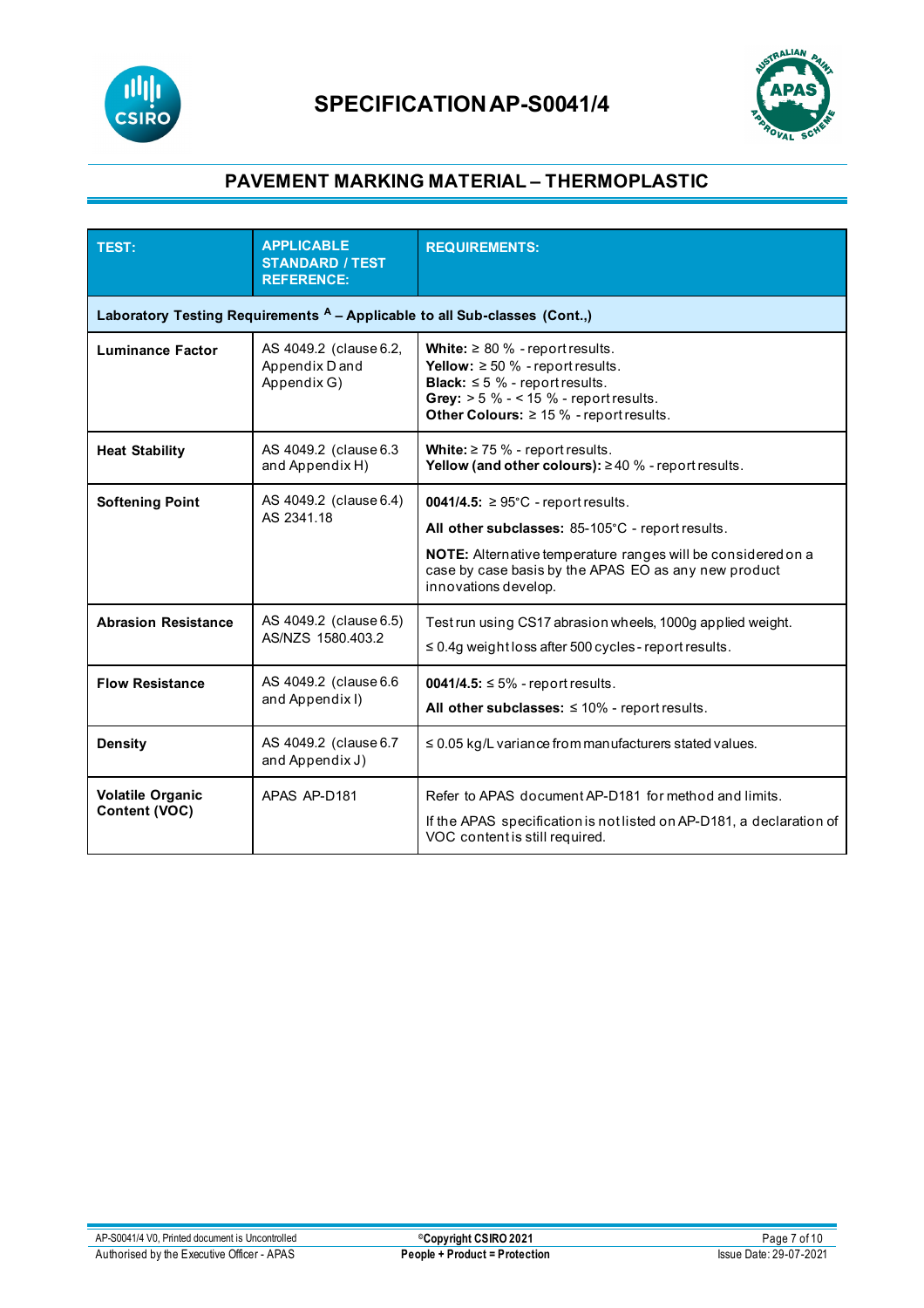



| <b>TEST:</b>                                                               | <b>APPLICABLE</b><br><b>STANDARD / TEST</b><br><b>REFERENCE:</b>                                                                                     | <b>REQUIREMENTS:</b>                                                                                                                                                                                                                                       |  |  |  |
|----------------------------------------------------------------------------|------------------------------------------------------------------------------------------------------------------------------------------------------|------------------------------------------------------------------------------------------------------------------------------------------------------------------------------------------------------------------------------------------------------------|--|--|--|
| Laboratory Testing Requirements A - Applicable to all Sub-classes (Cont.,) |                                                                                                                                                      |                                                                                                                                                                                                                                                            |  |  |  |
| <b>Luminance Factor</b>                                                    | AS 4049.2 (clause 6.2,<br>Appendix D and<br>Appendix G)                                                                                              | White: $\geq 80$ % - report results.<br><b>Yellow:</b> $\geq 50$ % - report results.<br><b>Black:</b> $\leq$ 5 % - report results.<br>Grey: $> 5$ % - < 15 % - report results.<br>Other Colours: $\geq 15$ % - report results.                             |  |  |  |
| <b>Heat Stability</b>                                                      | White: $\geq$ 75 % - report results.<br>AS 4049.2 (clause 6.3<br><b>Yellow (and other colours):</b> $\geq 40$ % - report results.<br>and Appendix H) |                                                                                                                                                                                                                                                            |  |  |  |
| <b>Softening Point</b>                                                     | AS 4049.2 (clause 6.4)<br>AS 2341.18                                                                                                                 | 0041/4.5: $\geq 95^{\circ}$ C - report results.<br>All other subclasses: 85-105°C - report results.<br><b>NOTE:</b> Alternative temperature ranges will be considered on a<br>case by case basis by the APAS EO as any new product<br>innovations develop. |  |  |  |
| <b>Abrasion Resistance</b>                                                 | AS 4049.2 (clause 6.5)<br>AS/NZS 1580.403.2                                                                                                          | Test run using CS17 abrasion wheels, 1000g applied weight.<br>$\leq$ 0.4g weight loss after 500 cycles - report results.                                                                                                                                   |  |  |  |
| <b>Flow Resistance</b>                                                     | AS 4049.2 (clause 6.6<br>and Appendix I)                                                                                                             | <b>0041/4.5:</b> ≤ 5% - report results.<br>All other subclasses: $\leq 10\%$ - report results.                                                                                                                                                             |  |  |  |
| <b>Density</b>                                                             | AS 4049.2 (clause 6.7<br>and Appendix J)                                                                                                             | $\leq$ 0.05 kg/L variance from manufacturers stated values.                                                                                                                                                                                                |  |  |  |
| <b>Volatile Organic</b><br>APAS AP-D181<br>Content (VOC)                   |                                                                                                                                                      | Refer to APAS document AP-D181 for method and limits.<br>If the APAS specification is not listed on AP-D181, a declaration of<br>VOC content is still required.                                                                                            |  |  |  |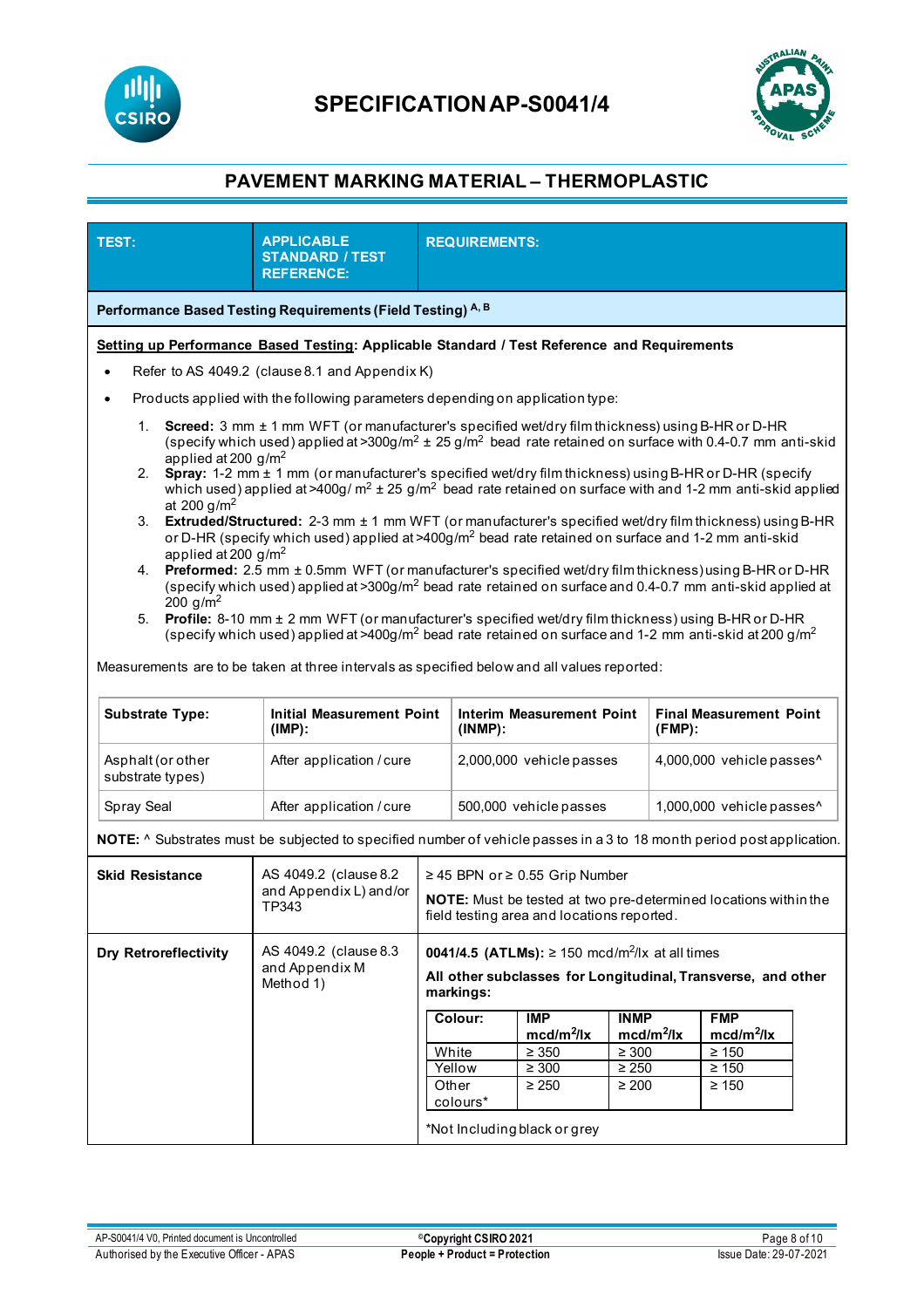



| <b>TEST:</b>                                                                                                                                                                                                                                                                                                                                                                                                                                                                                                                                                                                                                                                                                                                                                                                                                                                                                                                                                                                                                                                                                                                                                                | <b>APPLICABLE</b><br><b>STANDARD / TEST</b><br><b>REFERENCE:</b>                                                       | <b>REQUIREMENTS:</b>                                                                                                                                   |                                                 |                                                                      |                                                       |                           |                                                                      |  |
|-----------------------------------------------------------------------------------------------------------------------------------------------------------------------------------------------------------------------------------------------------------------------------------------------------------------------------------------------------------------------------------------------------------------------------------------------------------------------------------------------------------------------------------------------------------------------------------------------------------------------------------------------------------------------------------------------------------------------------------------------------------------------------------------------------------------------------------------------------------------------------------------------------------------------------------------------------------------------------------------------------------------------------------------------------------------------------------------------------------------------------------------------------------------------------|------------------------------------------------------------------------------------------------------------------------|--------------------------------------------------------------------------------------------------------------------------------------------------------|-------------------------------------------------|----------------------------------------------------------------------|-------------------------------------------------------|---------------------------|----------------------------------------------------------------------|--|
| Performance Based Testing Requirements (Field Testing) A, B                                                                                                                                                                                                                                                                                                                                                                                                                                                                                                                                                                                                                                                                                                                                                                                                                                                                                                                                                                                                                                                                                                                 |                                                                                                                        |                                                                                                                                                        |                                                 |                                                                      |                                                       |                           |                                                                      |  |
| Setting up Performance Based Testing: Applicable Standard / Test Reference and Requirements                                                                                                                                                                                                                                                                                                                                                                                                                                                                                                                                                                                                                                                                                                                                                                                                                                                                                                                                                                                                                                                                                 |                                                                                                                        |                                                                                                                                                        |                                                 |                                                                      |                                                       |                           |                                                                      |  |
| Refer to AS 4049.2 (clause 8.1 and Appendix K)<br>$\bullet$                                                                                                                                                                                                                                                                                                                                                                                                                                                                                                                                                                                                                                                                                                                                                                                                                                                                                                                                                                                                                                                                                                                 |                                                                                                                        |                                                                                                                                                        |                                                 |                                                                      |                                                       |                           |                                                                      |  |
| Products applied with the following parameters depending on application type:<br>٠                                                                                                                                                                                                                                                                                                                                                                                                                                                                                                                                                                                                                                                                                                                                                                                                                                                                                                                                                                                                                                                                                          |                                                                                                                        |                                                                                                                                                        |                                                 |                                                                      |                                                       |                           |                                                                      |  |
| 1.<br>Screed: 3 mm ± 1 mm WFT (or manufacturer's specified wet/dry film thickness) using B-HR or D-HR<br>(specify which used) applied at >300g/m <sup>2</sup> $\pm$ 25 g/m <sup>2</sup> bead rate retained on surface with 0.4-0.7 mm anti-skid<br>applied at 200 $g/m^2$<br>Spray: 1-2 mm ± 1 mm (or manufacturer's specified wet/dry film thickness) using B-HR or D-HR (specify<br>2.<br>which used) applied at >400g/ $m^2 \pm 25$ g/m <sup>2</sup> bead rate retained on surface with and 1-2 mm anti-skid applied<br>at 200 $g/m^2$<br>Extruded/Structured: 2-3 mm ± 1 mm WFT (or manufacturer's specified wet/dry film thickness) using B-HR<br>3.<br>or D-HR (specify which used) applied at >400g/m <sup>2</sup> bead rate retained on surface and 1-2 mm anti-skid<br>applied at 200 $g/m^2$<br>Preformed: 2.5 mm ± 0.5mm WFT (or manufacturer's specified wet/dry film thickness) using B-HR or D-HR<br>4.<br>(specify which used) applied at >300g/m <sup>2</sup> bead rate retained on surface and 0.4-0.7 mm anti-skid applied at<br>200 $g/m^2$<br>Profile: 8-10 mm ± 2 mm WFT (or manufacturer's specified wet/dry film thickness) using B-HR or D-HR<br>5. |                                                                                                                        |                                                                                                                                                        |                                                 |                                                                      |                                                       |                           |                                                                      |  |
| (specify which used) applied at >400g/m <sup>2</sup> bead rate retained on surface and 1-2 mm anti-skid at 200 g/m <sup>2</sup><br>Measurements are to be taken at three intervals as specified below and all values reported:<br><b>Substrate Type:</b><br><b>Initial Measurement Point</b><br><b>Interim Measurement Point</b><br><b>Final Measurement Point</b>                                                                                                                                                                                                                                                                                                                                                                                                                                                                                                                                                                                                                                                                                                                                                                                                          |                                                                                                                        |                                                                                                                                                        |                                                 |                                                                      |                                                       |                           |                                                                      |  |
| Asphalt (or other<br>substrate types)                                                                                                                                                                                                                                                                                                                                                                                                                                                                                                                                                                                                                                                                                                                                                                                                                                                                                                                                                                                                                                                                                                                                       | $(IMP)$ :<br>After application / cure                                                                                  |                                                                                                                                                        | $(INMP)$ :<br>2,000,000 vehicle passes          |                                                                      | $(FMP)$ :<br>4,000,000 vehicle passes^                |                           |                                                                      |  |
| Spray Seal                                                                                                                                                                                                                                                                                                                                                                                                                                                                                                                                                                                                                                                                                                                                                                                                                                                                                                                                                                                                                                                                                                                                                                  | After application / cure                                                                                               |                                                                                                                                                        | 500,000 vehicle passes                          |                                                                      |                                                       | 1,000,000 vehicle passes^ |                                                                      |  |
|                                                                                                                                                                                                                                                                                                                                                                                                                                                                                                                                                                                                                                                                                                                                                                                                                                                                                                                                                                                                                                                                                                                                                                             | NOTE: ^ Substrates must be subjected to specified number of vehicle passes in a 3 to 18 month period post application. |                                                                                                                                                        |                                                 |                                                                      |                                                       |                           |                                                                      |  |
| <b>Skid Resistance</b>                                                                                                                                                                                                                                                                                                                                                                                                                                                                                                                                                                                                                                                                                                                                                                                                                                                                                                                                                                                                                                                                                                                                                      | AS 4049.2 (clause 8.2)<br>and Appendix L) and/or<br>TP343                                                              | ≥ 45 BPN or ≥ 0.55 Grip Number<br><b>NOTE:</b> Must be tested at two pre-determined locations within the<br>field testing area and locations reported. |                                                 |                                                                      |                                                       |                           |                                                                      |  |
| <b>Dry Retroreflectivity</b>                                                                                                                                                                                                                                                                                                                                                                                                                                                                                                                                                                                                                                                                                                                                                                                                                                                                                                                                                                                                                                                                                                                                                | AS 4049.2 (clause 8.3<br>and Appendix M<br>Method 1)                                                                   | <b>0041/4.5 (ATLMs):</b> ≥ 150 mcd/m <sup>2</sup> /lx at all times<br>All other subclasses for Longitudinal, Transverse, and other<br>markings:        |                                                 |                                                                      |                                                       |                           |                                                                      |  |
|                                                                                                                                                                                                                                                                                                                                                                                                                                                                                                                                                                                                                                                                                                                                                                                                                                                                                                                                                                                                                                                                                                                                                                             |                                                                                                                        |                                                                                                                                                        | Colour:<br>White<br>Yellow<br>Other<br>colours* | <b>IMP</b><br>$mcd/m^2/lx$<br>$\geq 350$<br>$\geq 300$<br>$\geq 250$ | <b>INMP</b><br>$\geq 300$<br>$\geq 250$<br>$\geq 200$ | $mcd/m^2/lx$              | <b>FMP</b><br>$mcd/m^2/lx$<br>$\geq 150$<br>$\geq 150$<br>$\geq 150$ |  |
|                                                                                                                                                                                                                                                                                                                                                                                                                                                                                                                                                                                                                                                                                                                                                                                                                                                                                                                                                                                                                                                                                                                                                                             |                                                                                                                        |                                                                                                                                                        |                                                 | *Not Including black or grey                                         |                                                       |                           |                                                                      |  |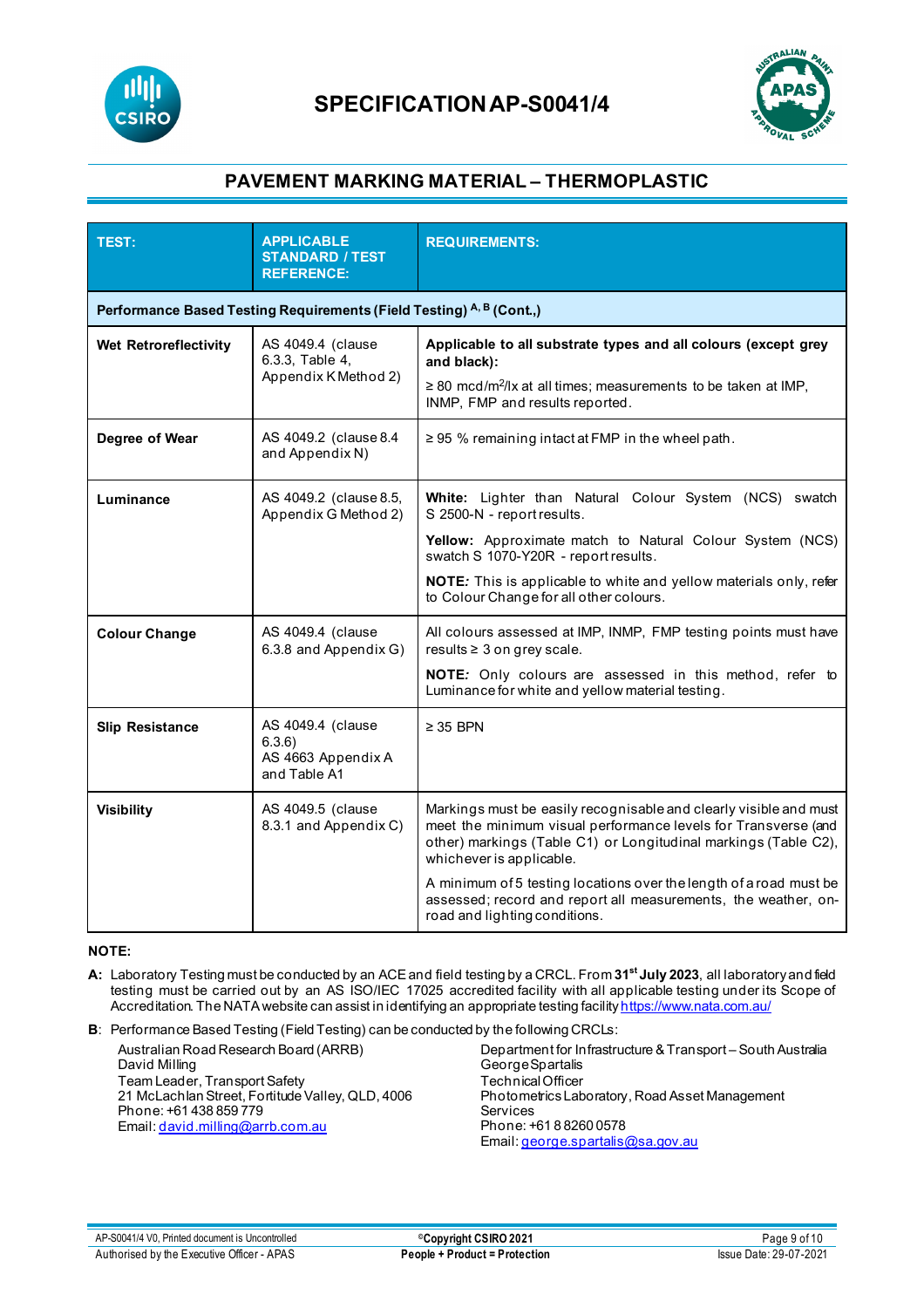



| <b>TEST:</b><br><b>APPLICABLE</b><br><b>STANDARD / TEST</b><br><b>REFERENCE:</b> |                                                                                 | <b>REQUIREMENTS:</b>                                                                                                                                                                                                               |
|----------------------------------------------------------------------------------|---------------------------------------------------------------------------------|------------------------------------------------------------------------------------------------------------------------------------------------------------------------------------------------------------------------------------|
|                                                                                  | Performance Based Testing Requirements (Field Testing) <sup>A, B</sup> (Cont.,) |                                                                                                                                                                                                                                    |
| Wet Retroreflectivity                                                            | AS 4049.4 (clause<br>6.3.3, Table 4,<br>Appendix K Method 2)                    | Applicable to all substrate types and all colours (except grey<br>and black):                                                                                                                                                      |
|                                                                                  |                                                                                 | $\geq$ 80 mcd/m <sup>2</sup> /lx at all times; measurements to be taken at IMP,<br>INMP, FMP and results reported.                                                                                                                 |
| Degree of Wear                                                                   | AS 4049.2 (clause 8.4<br>and Appendix N)                                        | ≥ 95 % remaining intact at FMP in the wheel path.                                                                                                                                                                                  |
| AS 4049.2 (clause 8.5,<br>Luminance<br>Appendix G Method 2)                      |                                                                                 | White: Lighter than Natural Colour System (NCS) swatch<br>S 2500-N - report results.                                                                                                                                               |
|                                                                                  |                                                                                 | Yellow: Approximate match to Natural Colour System (NCS)<br>swatch S 1070-Y20R - report results.                                                                                                                                   |
|                                                                                  |                                                                                 | NOTE: This is applicable to white and yellow materials only, refer<br>to Colour Change for all other colours.                                                                                                                      |
| <b>Colour Change</b>                                                             | AS 4049.4 (clause<br>6.3.8 and Appendix G)                                      | All colours assessed at IMP, INMP, FMP testing points must have<br>results ≥ 3 on grey scale.                                                                                                                                      |
|                                                                                  |                                                                                 | NOTE: Only colours are assessed in this method, refer to<br>Luminance for white and yellow material testing.                                                                                                                       |
| <b>Slip Resistance</b>                                                           | AS 4049.4 (clause<br>6.3.6)<br>AS 4663 Appendix A<br>and Table A1               | $\geq$ 35 BPN                                                                                                                                                                                                                      |
| <b>Visibility</b>                                                                | AS 4049.5 (clause<br>8.3.1 and Appendix C)                                      | Markings must be easily recognisable and clearly visible and must<br>meet the minimum visual performance levels for Transverse (and<br>other) markings (Table C1) or Longitudinal markings (Table C2),<br>whichever is applicable. |
|                                                                                  |                                                                                 | A minimum of 5 testing locations over the length of a road must be<br>assessed; record and report all measurements, the weather, on-<br>road and lighting conditions.                                                              |

### **NOTE:**

- **A:** Laboratory Testing must be conducted by an ACE and field testing by a CRCL. From **31st July 2023**, all laboratory and field testing must be carried out by an AS ISO/IEC 17025 accredited facility with all applicable testing under its Scope of Accreditation. The NATA website can assist in identifying an appropriate testing facilit[y https://www.nata.com.au/](https://www.nata.com.au/)
- **B**: Performance Based Testing (Field Testing) can be conducted by the following CRCLs:

Australian Road Research Board (ARRB) David Milling Team Leader, Transport Safety 21 McLachlan Street, Fortitude Valley, QLD, 4006 Phone: +61 438 859 779 Email[: david.milling@arrb.com.au](mailto:david.milling@arrb.com.au) Department for Infrastructure & Transport – South Australia George Spartalis Technical Officer Photometrics Laboratory, Road Asset Management Services Phone: +61 8 8260 0578 Email[: george.spartalis@sa.gov.au](mailto:george.spartalis@sa.gov.au)